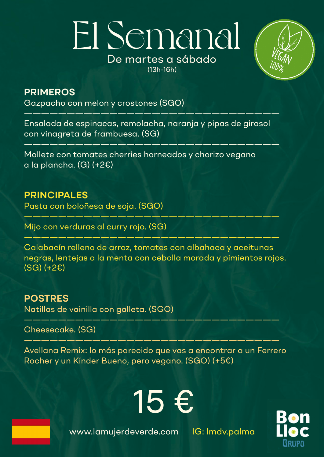## El Semanal De martes a sábado (13h-16h)



#### **PRIMEROS**

Gazpacho con melon y crostones (SGO)

Ensalada de espinacas, remolacha, naranja y pipas de girasol con vinagreta de frambuesa. (SG)

 $\frac{1}{\sqrt{2}}$  , and the contract of the contract of the contract of the contract of the contract of the contract of the contract of the contract of the contract of the contract of the contract of the contract of the contra

——————————————————————————————

Mollete con tomates cherries horneados y chorizo vegano a la plancha. (G) (+2€)

**PRINCIPALES** 

Pasta con boloñesa de soja. (SGO)

Mijo con verduras al curry rojo. (SG)

Calabacín relleno de arroz, tomates con albahaca y aceitunas negras, lentejas a la menta con cebolla morada y pimientos rojos. (SG) (+2€)

——————————————————————————————

 $\longrightarrow$  , and the same of the same of the same of the same of the same of the same of the same of the same of the same of the same of the same of the same of the same of the same of the same of the same of the same of the sa

**POSTRES**  Natillas de vainilla con galleta. (SGO)

Cheesecake. (SG)

Avellana Remix: lo más parecido que vas a encontrar a un Ferrero Rocher y un Kínder Bueno, pero vegano. (SGO) (+5€)

 $\frac{1}{\sqrt{2}}$  ,  $\frac{1}{\sqrt{2}}$  ,  $\frac{1}{\sqrt{2}}$  ,  $\frac{1}{\sqrt{2}}$  ,  $\frac{1}{\sqrt{2}}$  ,  $\frac{1}{\sqrt{2}}$  ,  $\frac{1}{\sqrt{2}}$  ,  $\frac{1}{\sqrt{2}}$  ,  $\frac{1}{\sqrt{2}}$  ,  $\frac{1}{\sqrt{2}}$  ,  $\frac{1}{\sqrt{2}}$  ,  $\frac{1}{\sqrt{2}}$  ,  $\frac{1}{\sqrt{2}}$  ,  $\frac{1}{\sqrt{2}}$  ,  $\frac{1}{\sqrt{2}}$ 

——————————————————————————————

[www.lamujerdeverde.com](http://www.lamujerdeverde.com) IG: lmdv.palma

15 €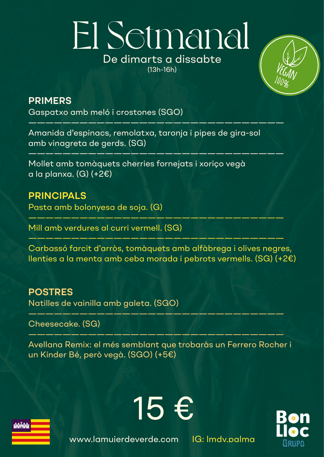## El Setmanal De dimarts a dissabte (13h-16h)



#### **PRIMERS**

Gaspatxo amb meló i crostones (SGO)

Amanida d'espinacs, remolatxa, taronja i pipes de gira-sol amb vinagreta de gerds. (SG)

 $\frac{1}{2}$  , and the set of the set of the set of the set of the set of the set of the set of the set of the set of the set of the set of the set of the set of the set of the set of the set of the set of the set of the set

 $\frac{1}{\sqrt{1-\frac{1}{2}-\frac{1}{2}-\frac{1}{2}-\frac{1}{2}-\frac{1}{2}-\frac{1}{2}-\frac{1}{2}-\frac{1}{2}-\frac{1}{2}-\frac{1}{2}-\frac{1}{2}-\frac{1}{2}-\frac{1}{2}-\frac{1}{2}-\frac{1}{2}-\frac{1}{2}-\frac{1}{2}-\frac{1}{2}-\frac{1}{2}-\frac{1}{2}-\frac{1}{2}-\frac{1}{2}-\frac{1}{2}-\frac{1}{2}-\frac{1}{2}-\frac{1}{2}-\frac{1}{2}-\frac{1}{2}-\frac{1}{2}-\frac{1}{2}-\$ 

Mollet amb tomàquets cherries fornejats i xoriço vegà a la planxa. (G)  $(+2)$ 

#### **PRINCIPALS**

Pasta amb bolonyesa de soja. (G)

Mill amb verdures al curri vermell. (SG)

Carbassó farcit d'arròs, tomàquets amb alfàbrega i olives negres, llenties a la menta amb ceba morada i pebrots vermells. (SG) (+2€)

——————————————————————————————

——————————————————————————————

#### **POSTRES**

Natilles de vainilla amb galeta. (SGO)

Cheesecake. (SG)

Avellana Remix: el més semblant que trobaràs un Ferrero Rocher i un Kínder Bé, però vegà. (SGO) (+5€)

15 €

——————————————————————————————

——————————————————————————————



[www.lamujerdeverde.com](http://www.lamujerdeverde.com) IG: lmdv.palma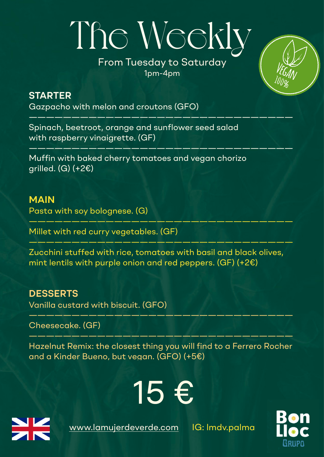# The Weekly

#### From Tuesday to Saturday 1pm-4pm

———————————————————————————————

———————————————————————————————



Gazpacho with melon and croutons (GFO)

Spinach, beetroot, orange and sunflower seed salad with raspberry vinaigrette. (GF)

Muffin with baked cherry tomatoes and vegan chorizo arilled.  $(G)$  (+2 $\varepsilon$ )

#### **MAIN**

Pasta with soy bolognese. (G)

Millet with red curry vegetables. (GF)

Zucchini stuffed with rice, tomatoes with basil and black olives, mint lentils with purple onion and red peppers. (GF) (+2€)

———————————————————————————————

———————————————————————————————

#### **DESSERTS**

Vanilla custard with biscuit. (GFO)

Cheesecake. (GF)

Hazelnut Remix: the closest thing you will find to a Ferrero Rocher and a Kinder Bueno, but vegan. (GFO) (+5€)

 $\frac{1}{\sqrt{2}}\left( \frac{1}{\sqrt{2}}\right) =\frac{1}{\sqrt{2}}\left( \frac{1}{\sqrt{2}}\right) =\frac{1}{\sqrt{2}}\left( \frac{1}{\sqrt{2}}\right) =\frac{1}{\sqrt{2}}\left( \frac{1}{\sqrt{2}}\right) =\frac{1}{\sqrt{2}}\left( \frac{1}{\sqrt{2}}\right) =\frac{1}{\sqrt{2}}\left( \frac{1}{\sqrt{2}}\right) =\frac{1}{\sqrt{2}}\left( \frac{1}{\sqrt{2}}\right) =\frac{1}{\sqrt{2}}\left( \frac{1}{\sqrt{2}}\right) =\frac{1$ 

———————————————————————————————

15 €



[www.lamujerdeverde.com](http://www.lamujerdeverde.com) IG: Imdv.palma